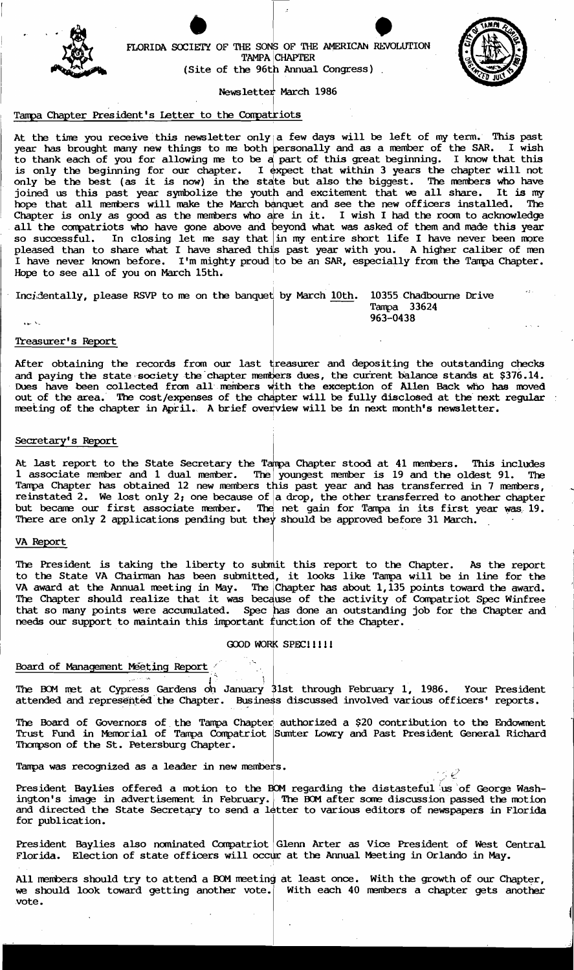

FLORIDA SOCIETY OF THE SONS OF THE AMERICAN REVOLUTION TAMPA CHAPTER TAMPA CHAPTER (Site of the 96th Annual Congress).



 $\left| \right|$ 

 $\mathbf{I}$ Newsletter March 1986

. , Indian and Indian and Indian

# Tampa Chapter President's Letter to the Compatriots

At the time you receive this newsletter only a few days will be left of my term. This past year has brought many new things to me both personally and as a member of the SAR. I wish to thank each of you for allowing ne to be a part of this great beginning. I know that this is only the beginning for our chapter. I expect that within 3 years the chapter will not only be the beginning for our chapter. I expect that within 3 jeans the chapter with not<br>only be the best (as it is now) in the state but also the biggest. The members who have joined us this past year symbolize the youth and excitenent that we all share. It is my hope that all members will make the March banquet and see the new officers installed. The Chapter is only as good as the members who are in it. I wish I had the room to acknowledge all the compatriots who have gone above and beyond what was asked of them and made this year so successful. In closing let me say that  $\frac{1}{2}$  my entire short life I have never been more pleased than to share what I have shared this past year with you. A higher caliber of men I have never known before. I'm mighty proud to be an SAR, especially from the Tampa Chapter. Hope to see all of you on March 15th.

Incidentally, please RSVP to me on the banquet by March 10th. 10355 Chadbourne Drive

Tampa 33624<br>963-0438  $\sim$  963-0438 ,...  $\sim$  963-0438

### Treasurer's Report

After obtaining the records from our last treasurer and depositing the outstanding checks and paying the state society the chapter members dues, the current balance stands at \$376.14. Dues have been collected from all members with the exception of Allen Back who has moved out of the area. The cost/expenses of the chapter will be fully disclosed at the next regular meeting of the chapter in April. A brief overview will be in next month's newsletter.

### Secretary's Report

At last report to the State Secretary the Tampa Chapter stood at 41 members. This includes 1 associate member and 1 dual member. The youngest member is 19 and the oldest 91. The Tampa Chapter has obtained 12 new members this past year and has transferred in 7 members, reinstated 2. We lost only 2; one because of  $|$  a drop, the other transferred to another chapter but became our first associate member. The net gain for Tampa in its first year was 19. There are only 2 applications pending but they should be approved before 31 March.

### VA Report

The President is taking the liberty to submit this report to the Chapter. As the report to the State VA Chairman has been submitted, it looks like Tampa will be in line for the VA award at the Annual meeting in May. The Chapter has about 1,135 points toward the award. The Chapter should realize that it was because of the activity of Compatriot Spec Winfree that so many points were accumulated. Spec has done an outstanding job for the Chapter and needs our support to maintain this important function of the Chapter.

# GOOD WORK SPECIIIII

I was a strong of the state of the state of the state of the state of the state of the state of the state of the

# Board of Management Meeting Report

The BOM met at Cypress Gardens on January 31st through February 1, 1986. Your President attended and represented the Chapter. Business discussed involved various officers' reports.

. In the second property of the

The Board of Governors of the Tampa Chapter authorized a \$20 contribution to the Endowment Trust Fund in Memorial of Tampa Compatriot Sumter Lowry and Past President General Richard Thompson of the St. Petersburg Chapter.

Tampa was recognized as a leader in new members.<br>  $\mathcal{L} \subset \mathcal{L}$ 

President Baylies offered a motion to the BOM regarding the distasteful us of George Washington's image in advertisement in February. The BOM after some discussion passed the motion and directed the State Secretary to send a letter to various editors of newspapers in Florida for publication.

President Baylies also nominated Compatriot Glenn Arter as Vice President of West Central Florida. Election of state officers will occur at the Annual Meeting in Orlando in May.

All members should try to attend a BOM meeting at least once. With the growth of our Chapter, we should look toward getting another vote. With each 40 members a chapter gets another vote.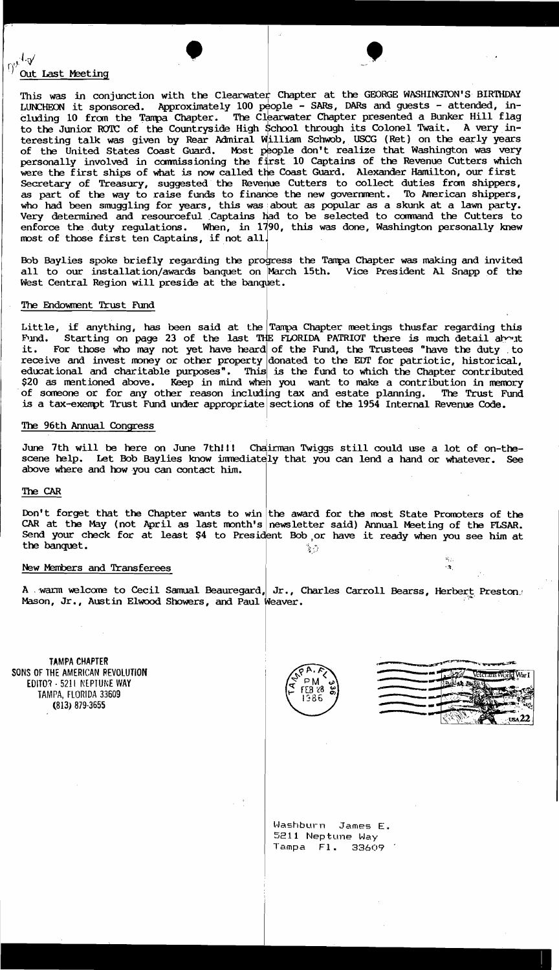# $\int_0^{\int_0^1 \frac{1}{\sqrt{t}}} \frac{dx}{t}$  . We last Meeting

This was in conjunction with the Clearwater Chapter at the GEORGE WASHINGTON'S BIRTHDAY LUNCHEON it sponsored. Approximately 100  $p_{\text{e}}$ ople - SARs, DARs and guests - attended, including 10 from the Tampa Chapter. The Clearwater Chapter presented a Bunker Hill flag to the Junior ROTC of the Countryside High School through its Colonel Twait. A very interesting talk was given by Rear Admiral William Schwob, USCG (Ret) on the early years of the United States Coast Guard. Most people don't realize that Washington was very personally involved in commissioning the first 10 Captains of the Revenue Cutters which were the first ships of what is now called the Coast Guard. Alexander Hamilton, our first Secretary of Treasury, suggested the Revenue Cutters to collect duties from shippers, as part of the way to raise funds to finance the new government. To American shippers, who had been smuggling for years, this was about as popular as a skunk at a lawn party. Very determined and resourceful .Captains Jiad to be selected to coomand the Cutters to enforce the duty regulations. When, in 1790, this was done, Washington personally knew most of those first ten Captains, if not all.

Bob Baylies spoke briefly regarding the progress the Tampa Chapter was making and invited all to our installation/awards banquet on March 15th. Vice President Al Snapp of the West Central Region will preside at the banquet.

# The Endowment Trust Fund

Little, if anything, has been said at the Tampa Chapter meetings thusfar regarding this Fund. Starting on page 23 of the last THE FLORIDA PATRIOT there is much detail about Starting on page 23 of the last THE FLORIDA PATRIOT there is much detail about it. For those who may not yet have heard of the Fund, the Trustees "have the duty to receive and invest money or other property donated to the EDT for patriotic, historical, educational and charitable purposes". This is the fund to which the Chapter contributed \$20 as mentioned above. Keep in mind when you want to make a contribution in memory of someone or for any other reason including tax and estate planning. The Trust Fund is a tax-exempt Trust Fund under appropriate sections of the 1954 Internal Revenue Code.

### The 96th Annual Congress

June 7th will be here on June 7th!!! Chdirman Twiggs still could use a lot of on-thescene help. Let Bob Baylies know immediately that you can lend a hand or whatever. See above where and how you can contact him.

### The CAR

Don't forget that the Chapter wants to win the award for the most State Promoters of the CAR at the May (not April as last month's newsletter said) Annual Meeting of the FLSAR. Send your check for at least \$4 to President Bob or have it ready when you see him at the banquet.

#### New Members and Transferees

A . wann welcome to Cecil Samual Beauregard, Jr., Charles Carroll Bearss, Herbert Preston. Mason, Jr., Austin Elwood Showers, and Paul Weaver.

I

TAMPA CHAPTER SONS OF THE AMERICAN REVOLUTION EDITO? - 5211 NEPTUNE WAY TAMPA, FLORIDA 33609 (813) 879-3655

PM FEB 28 986

|  | æ.                   |
|--|----------------------|
|  | Veterans World War I |
|  |                      |
|  |                      |
|  |                      |
|  |                      |
|  | $\sqrt{322}$         |

Washburn James E. 5211 Neptune Way Tampa Fl. 33609'

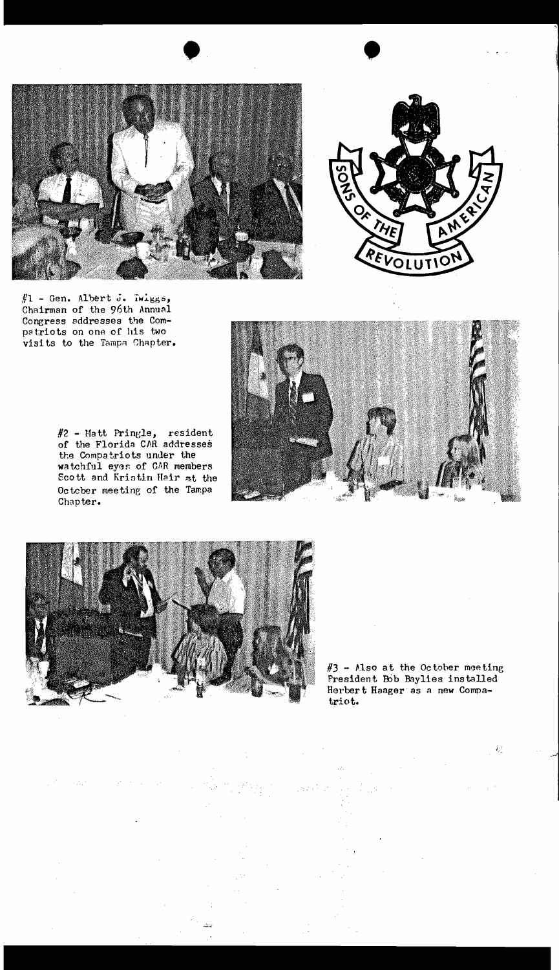



 $#1$  - Gen. Albert J. Twiggs, Chairman of the 96th Annual Congress addresses the Compatriots on one of his two visits to the Tampa Chapter.

#2 - Matt Pringle, resident<br>of the Florida CAR addresses the Compatriots under the watchful eyes of CAR members Scott and Kristin Hair at the October meeting of the Tampa Chapter.





 $\mathcal{L}^{(1)}$ 

 $\sim 15\,\mu$ 

#3 - Also at the October meeting President Bob Baylies installed Herbert Haager as a new Compatriot.

 $\mathcal{A}_k$  ,  $\mathcal{A}_k$ 

 $J_{\rm d}$